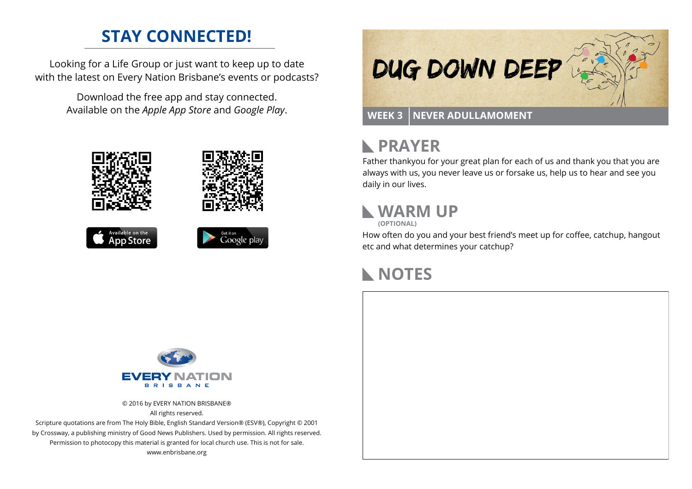### **STAY CONNECTED!**

Looking for a Life Group or just want to keep up to date with the latest on Every Nation Brisbane's events or podcasts?

> Download the free app and stay connected. Available on the *Apple App Store* and *Google Play*.





```
Available on the
App Store
```




# **PRAYER**

Father thankyou for your great plan for each of us and thank you that you are always with us, you never leave us or forsake us, help us to hear and see you daily in our lives.

## **WARM UP**

**(OPTIONAL)**

How often do you and your best friend's meet up for coffee, catchup, hangout etc and what determines your catchup?

### **NOTES**



© 2016 by EVERY NATION BRISBANE® All rights reserved.

Scripture quotations are from The Holy Bible, English Standard Version® (ESV®), Copyright © 2001 by Crossway, a publishing ministry of Good News Publishers. Used by permission. All rights reserved. Permission to photocopy this material is granted for local church use. This is not for sale. www.enbrisbane.org